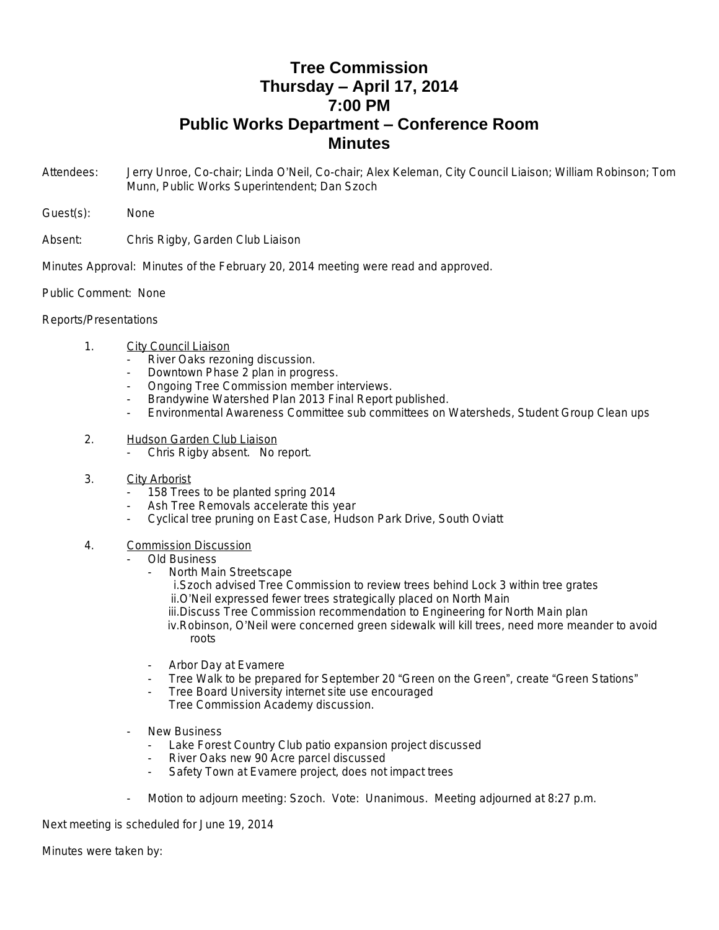## **Tree Commission Thursday – April 17, 2014 7:00 PM Public Works Department – Conference Room Minutes**

- Attendees: Jerry Unroe, Co-chair; Linda O'Neil, Co-chair; Alex Keleman, City Council Liaison; William Robinson; Tom Munn, Public Works Superintendent; Dan Szoch
- Guest(s): None
- Absent: Chris Rigby, Garden Club Liaison

Minutes Approval: Minutes of the February 20, 2014 meeting were read and approved.

Public Comment: None

## Reports/Presentations

- 1. City Council Liaison
	- River Oaks rezoning discussion.
	- Downtown Phase 2 plan in progress.
	- Ongoing Tree Commission member interviews.
	- Brandywine Watershed Plan 2013 Final Report published.
	- Environmental Awareness Committee sub committees on Watersheds, Student Group Clean ups
- 2. Hudson Garden Club Liaison
	- Chris Rigby absent. No report.
- 3. City Arborist
	- 158 Trees to be planted spring 2014
	- Ash Tree Removals accelerate this year
	- Cyclical tree pruning on East Case, Hudson Park Drive, South Oviatt
- 4. Commission Discussion
	- Old Business
		- North Main Streetscape
			- i.Szoch advised Tree Commission to review trees behind Lock 3 within tree grates ii.O'Neil expressed fewer trees strategically placed on North Main

iii.Discuss Tree Commission recommendation to Engineering for North Main plan

iv.Robinson, O'Neil were concerned green sidewalk will kill trees, need more meander to avoid roots

- Arbor Day at Evamere
- Tree Walk to be prepared for September 20 "Green on the Green", create "Green Stations"
- Tree Board University internet site use encouraged
- Tree Commission Academy discussion.
- **New Business** 
	- Lake Forest Country Club patio expansion project discussed
	- River Oaks new 90 Acre parcel discussed
	- Safety Town at Evamere project, does not impact trees
- Motion to adjourn meeting: Szoch. Vote: Unanimous. Meeting adjourned at 8:27 p.m.

Next meeting is scheduled for June 19, 2014

Minutes were taken by: